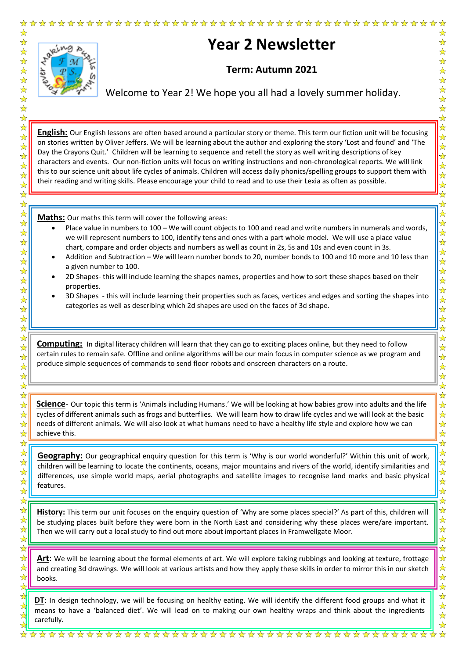

Welcome to Year 2! We hope you all had a lovely summer holiday.

☆

☆

 $\frac{1}{\mathbf{k}^{\prime}}$ 

 $\frac{1}{\mathbf{k}^{\prime}}$  $\frac{1}{\mathcal{N}}$ 

 $\frac{1}{\sqrt{2}}$ 

 $\frac{\lambda}{\lambda}$  $\frac{1}{\sqrt{2}}$  $\frac{\lambda}{\lambda}$ 

 $\frac{1}{\mathcal{N}}$ 

 $\frac{1}{\sqrt{2}}$ 

 $\bigstar$ 

 $\frac{1}{\mathbf{k}}$  $\frac{1}{\mathbf{k}}$ 

 $\frac{\lambda}{\lambda}$ 

 $\frac{1}{\sqrt{2}}$ 

 $\frac{1}{\mathcal{N}}$ 

 $\frac{1}{\mathbf{k}}$  $\frac{1}{\sqrt{2}}$ 

 $\frac{1}{\mathbf{k}}$ 

┢

 $\frac{1}{\sqrt{2}}$ ☆

大女

2222

 $\frac{1}{\lambda}$ 1社

 $\frac{\lambda}{\lambda}$ 

 $\frac{1}{\mathbf{k}}$ 

 $\frac{1}{\sqrt{2}}$ 

 $\frac{1}{\mathcal{N}}$ 

 $\frac{1}{\mathbf{k}^{\prime}}$ 

 $\frac{\lambda}{\lambda}$ 

☆

 $\frac{1}{\sqrt{2}}$ 

 $\frac{1}{\sqrt{2}}$ 

 $\frac{1}{\sqrt{2}}$ ☆

 $\frac{1}{\sqrt{2}}$ 

 $\frac{\lambda}{\lambda}$ 

 $\frac{1}{\sqrt{2}}$ 

┢

 $\frac{1}{\sqrt{2}}$ 

 $\frac{1}{\sqrt{2}}$  $\frac{1}{\sqrt{2}}$ 

 $\frac{\lambda}{\lambda}$ 

 $\frac{1}{\sqrt{2}}$  $\frac{1}{\lambda}$ 

 $\frac{1}{\sqrt{2}}$ 

 $\frac{1}{\sqrt{2}}$ 

☆  $\frac{1}{\sqrt{2}}$ 

 $\frac{1}{\sqrt{2}}$ ☆

 $\frac{1}{\mathbf{k}}$  $\frac{1}{\sqrt{2}}$ 

 $\frac{1}{\sqrt{2}}$ 

 $\frac{1}{\sqrt{2}}$ ☆

❖☆

**English:** Our English lessons are often based around a particular story or theme. This term our fiction unit will be focusing on stories written by Oliver Jeffers. We will be learning about the author and exploring the story 'Lost and found' and 'The Day the Crayons Quit.' Children will be learning to sequence and retell the story as well writing descriptions of key characters and events. Our non-fiction units will focus on writing instructions and non-chronological reports. We will link this to our science unit about life cycles of animals. Children will access daily phonics/spelling groups to support them with their reading and writing skills. Please encourage your child to read and to use their Lexia as often as possible.

**Maths:** Our maths this term will cover the following areas:

- Place value in numbers to 100 We will count objects to 100 and read and write numbers in numerals and words, we will represent numbers to 100, identify tens and ones with a part whole model. We will use a place value chart, compare and order objects and numbers as well as count in 2s, 5s and 10s and even count in 3s.
- Addition and Subtraction We will learn number bonds to 20, number bonds to 100 and 10 more and 10 less than a given number to 100.
- 2D Shapes- this will include learning the shapes names, properties and how to sort these shapes based on their properties.
- 3D Shapes this will include learning their properties such as faces, vertices and edges and sorting the shapes into categories as well as describing which 2d shapes are used on the faces of 3d shape.

**Computing:** In digital literacy children will learn that they can go to exciting places online, but they need to follow certain rules to remain safe. Offline and online algorithms will be our main focus in computer science as we program and produce simple sequences of commands to send floor robots and onscreen characters on a route.

**Science**- Our topic this term is 'Animals including Humans.' We will be looking at how babies grow into adults and the life cycles of different animals such as frogs and butterflies. We will learn how to draw life cycles and we will look at the basic needs of different animals. We will also look at what humans need to have a healthy life style and explore how we can achieve this.

**Geography:** Our geographical enquiry question for this term is 'Why is our world wonderful?' Within this unit of work, children will be learning to locate the continents, oceans, major mountains and rivers of the world, identify similarities and differences, use simple world maps, aerial photographs and satellite images to recognise land marks and basic physical features.

**History:** This term our unit focuses on the enquiry question of 'Why are some places special?' As part of this, children will be studying places built before they were born in the North East and considering why these places were/are important. Then we will carry out a local study to find out more about important places in Framwellgate Moor.

**Art**: We will be learning about the formal elements of art. We will explore taking rubbings and looking at texture, frottage and creating 3d drawings. We will look at various artists and how they apply these skills in order to mirror this in our sketch books.

**DT**: In design technology, we will be focusing on healthy eating. We will identify the different food groups and what it means to have a 'balanced diet'. We will lead on to making our own healthy wraps and think about the ingredients carefully.